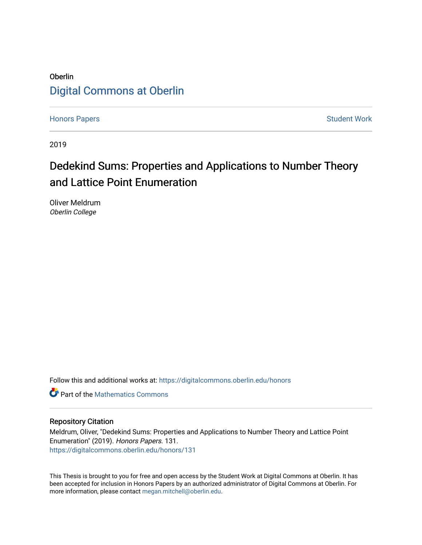## Oberlin [Digital Commons at Oberlin](https://digitalcommons.oberlin.edu/)

[Honors Papers](https://digitalcommons.oberlin.edu/honors) **Student Work** 

2019

# Dedekind Sums: Properties and Applications to Number Theory and Lattice Point Enumeration

Oliver Meldrum Oberlin College

Follow this and additional works at: [https://digitalcommons.oberlin.edu/honors](https://digitalcommons.oberlin.edu/honors?utm_source=digitalcommons.oberlin.edu%2Fhonors%2F131&utm_medium=PDF&utm_campaign=PDFCoverPages) 

**C** Part of the [Mathematics Commons](http://network.bepress.com/hgg/discipline/174?utm_source=digitalcommons.oberlin.edu%2Fhonors%2F131&utm_medium=PDF&utm_campaign=PDFCoverPages)

#### Repository Citation

Meldrum, Oliver, "Dedekind Sums: Properties and Applications to Number Theory and Lattice Point Enumeration" (2019). Honors Papers. 131. [https://digitalcommons.oberlin.edu/honors/131](https://digitalcommons.oberlin.edu/honors/131?utm_source=digitalcommons.oberlin.edu%2Fhonors%2F131&utm_medium=PDF&utm_campaign=PDFCoverPages) 

This Thesis is brought to you for free and open access by the Student Work at Digital Commons at Oberlin. It has been accepted for inclusion in Honors Papers by an authorized administrator of Digital Commons at Oberlin. For more information, please contact [megan.mitchell@oberlin.edu.](mailto:megan.mitchell@oberlin.edu)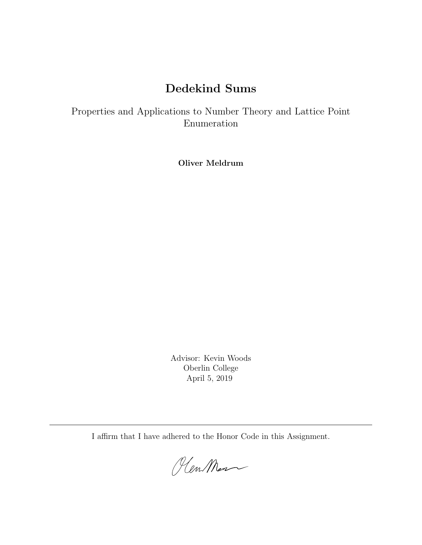# Dedekind Sums

Properties and Applications to Number Theory and Lattice Point Enumeration

Oliver Meldrum

Advisor: Kevin Woods Oberlin College April 5, 2019

I affirm that I have adhered to the Honor Code in this Assignment.

Plen Men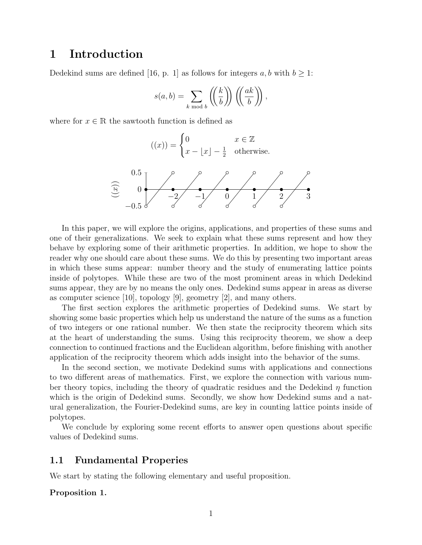## 1 Introduction

Dedekind sums are defined [16, p. 1] as follows for integers a, b with  $b \geq 1$ :

$$
s(a,b) = \sum_{k \bmod b} \left( \left( \frac{k}{b} \right) \right) \left( \left( \frac{ak}{b} \right) \right),
$$

where for  $x \in \mathbb{R}$  the sawtooth function is defined as



In this paper, we will explore the origins, applications, and properties of these sums and one of their generalizations. We seek to explain what these sums represent and how they behave by exploring some of their arithmetic properties. In addition, we hope to show the reader why one should care about these sums. We do this by presenting two important areas in which these sums appear: number theory and the study of enumerating lattice points inside of polytopes. While these are two of the most prominent areas in which Dedekind sums appear, they are by no means the only ones. Dedekind sums appear in areas as diverse as computer science  $[10]$ , topology  $[9]$ , geometry  $[2]$ , and many others.

The first section explores the arithmetic properties of Dedekind sums. We start by showing some basic properties which help us understand the nature of the sums as a function of two integers or one rational number. We then state the reciprocity theorem which sits at the heart of understanding the sums. Using this reciprocity theorem, we show a deep connection to continued fractions and the Euclidean algorithm, before finishing with another application of the reciprocity theorem which adds insight into the behavior of the sums.

In the second section, we motivate Dedekind sums with applications and connections to two different areas of mathematics. First, we explore the connection with various number theory topics, including the theory of quadratic residues and the Dedekind  $\eta$  function which is the origin of Dedekind sums. Secondly, we show how Dedekind sums and a natural generalization, the Fourier-Dedekind sums, are key in counting lattice points inside of polytopes.

We conclude by exploring some recent efforts to answer open questions about specific values of Dedekind sums.

#### 1.1 Fundamental Properies

We start by stating the following elementary and useful proposition.

#### Proposition 1.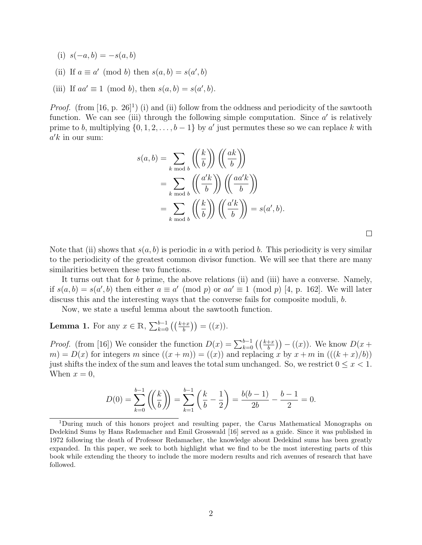- (i)  $s(-a, b) = -s(a, b)$
- (ii) If  $a \equiv a' \pmod{b}$  then  $s(a, b) = s(a', b)$
- (iii) If  $aa' \equiv 1 \pmod{b}$ , then  $s(a, b) = s(a', b)$ .

*Proof.* (from [16, p. 26]<sup>1</sup>) (i) and (ii) follow from the oddness and periodicity of the sawtooth function. We can see (iii) through the following simple computation. Since  $a'$  is relatively prime to b, multiplying  $\{0, 1, 2, \ldots, b-1\}$  by a' just permutes these so we can replace k with  $a'k$  in our sum:

$$
s(a,b) = \sum_{k \bmod b} \left( \left( \frac{k}{b} \right) \right) \left( \left( \frac{ak}{b} \right) \right)
$$
  
= 
$$
\sum_{k \bmod b} \left( \left( \frac{a'k}{b} \right) \right) \left( \left( \frac{aa'k}{b} \right) \right)
$$
  
= 
$$
\sum_{k \bmod b} \left( \left( \frac{k}{b} \right) \right) \left( \left( \frac{a'k}{b} \right) \right) = s(a',b).
$$

 $\Box$ 

Note that (ii) shows that  $s(a, b)$  is periodic in a with period b. This periodicity is very similar to the periodicity of the greatest common divisor function. We will see that there are many similarities between these two functions.

It turns out that for b prime, the above relations (ii) and (iii) have a converse. Namely, if  $s(a, b) = s(a', b)$  then either  $a \equiv a' \pmod{p}$  or  $aa' \equiv 1 \pmod{p}$  [4, p. 162]. We will later discuss this and the interesting ways that the converse fails for composite moduli, b.

Now, we state a useful lemma about the sawtooth function.

**Lemma 1.** For any  $x \in \mathbb{R}$ ,  $\sum_{k=0}^{b-1} ((\frac{k+x}{b})) = ((x)).$ 

*Proof.* (from [16]) We consider the function  $D(x) = \sum_{k=0}^{b-1} ((\frac{k+x}{b})) - ((x))$ . We know  $D(x +$  $m = D(x)$  for integers m since  $((x + m)) = ((x))$  and replacing x by  $x + m$  in  $(((k + x)/b))$ just shifts the index of the sum and leaves the total sum unchanged. So, we restrict  $0 \leq x < 1$ . When  $x = 0$ ,

$$
D(0) = \sum_{k=0}^{b-1} \left( \left( \frac{k}{b} \right) \right) = \sum_{k=1}^{b-1} \left( \frac{k}{b} - \frac{1}{2} \right) = \frac{b(b-1)}{2b} - \frac{b-1}{2} = 0.
$$

<sup>1</sup>During much of this honors project and resulting paper, the Carus Mathematical Monographs on Dedekind Sums by Hans Rademacher and Emil Grosswald [16] served as a guide. Since it was published in 1972 following the death of Professor Redamacher, the knowledge about Dedekind sums has been greatly expanded. In this paper, we seek to both highlight what we find to be the most interesting parts of this book while extending the theory to include the more modern results and rich avenues of research that have followed.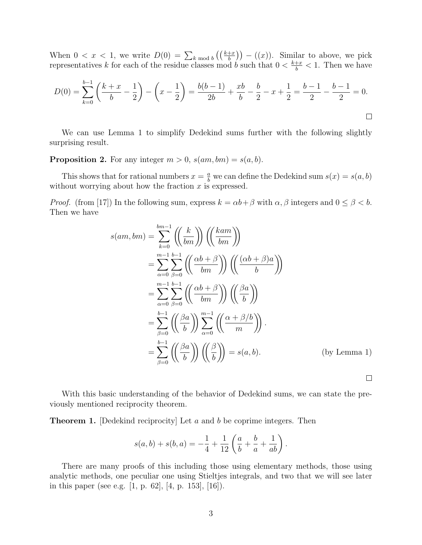When  $0 < x < 1$ , we write  $D(0) = \sum_{k \bmod b} \left( \left( \frac{k+x}{b} \right) \right) - \left( x \right)$ . Similar to above, we pick representatives k for each of the residue classes mod b such that  $0 < \frac{k+x}{b} < 1$ . Then we have

$$
D(0) = \sum_{k=0}^{b-1} \left( \frac{k+x}{b} - \frac{1}{2} \right) - \left( x - \frac{1}{2} \right) = \frac{b(b-1)}{2b} + \frac{xb}{b} - \frac{b}{2} - x + \frac{1}{2} = \frac{b-1}{2} - \frac{b-1}{2} = 0.
$$

We can use Lemma 1 to simplify Dedekind sums further with the following slightly surprising result.

**Proposition 2.** For any integer  $m > 0$ ,  $s(am, bm) = s(a, b)$ .

This shows that for rational numbers  $x = \frac{a}{b}$  we can define the Dedekind sum  $s(x) = s(a, b)$ without worrying about how the fraction  $x$  is expressed.

*Proof.* (from [17]) In the following sum, express  $k = \alpha b + \beta$  with  $\alpha, \beta$  integers and  $0 \le \beta < b$ . Then we have

$$
s(am, bm) = \sum_{k=0}^{bm-1} \left( \left( \frac{k}{bm} \right) \right) \left( \left( \frac{kam}{bm} \right) \right)
$$
  
\n
$$
= \sum_{\alpha=0}^{m-1} \sum_{\beta=0}^{b-1} \left( \left( \frac{\alpha b + \beta}{bm} \right) \right) \left( \left( \frac{(\alpha b + \beta)a}{b} \right) \right)
$$
  
\n
$$
= \sum_{\alpha=0}^{m-1} \sum_{\beta=0}^{b-1} \left( \left( \frac{\alpha b + \beta}{bm} \right) \right) \left( \left( \frac{\beta a}{b} \right) \right)
$$
  
\n
$$
= \sum_{\beta=0}^{b-1} \left( \left( \frac{\beta a}{b} \right) \right) \sum_{\alpha=0}^{m-1} \left( \left( \frac{\alpha + \beta/b}{m} \right) \right).
$$
  
\n
$$
= \sum_{\beta=0}^{b-1} \left( \left( \frac{\beta a}{b} \right) \right) \left( \left( \frac{\beta}{b} \right) \right) = s(a, b).
$$
 (by Lemma 1)

With this basic understanding of the behavior of Dedekind sums, we can state the previously mentioned reciprocity theorem.

**Theorem 1.** [Dedekind reciprocity] Let a and b be coprime integers. Then

$$
s(a,b) + s(b,a) = -\frac{1}{4} + \frac{1}{12} \left( \frac{a}{b} + \frac{b}{a} + \frac{1}{ab} \right).
$$

There are many proofs of this including those using elementary methods, those using analytic methods, one peculiar one using Stieltjes integrals, and two that we will see later in this paper (see e.g. [1, p. 62], [4, p. 153], [16]).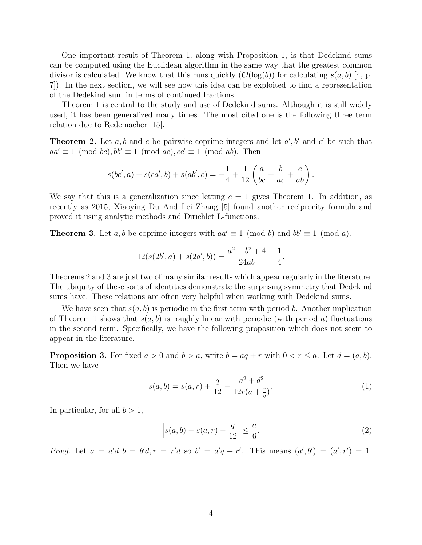One important result of Theorem 1, along with Proposition 1, is that Dedekind sums can be computed using the Euclidean algorithm in the same way that the greatest common divisor is calculated. We know that this runs quickly  $(\mathcal{O}(\log(b))$  for calculating  $s(a, b)$  [4, p. 7]). In the next section, we will see how this idea can be exploited to find a representation of the Dedekind sum in terms of continued fractions.

Theorem 1 is central to the study and use of Dedekind sums. Although it is still widely used, it has been generalized many times. The most cited one is the following three term relation due to Redemacher [15].

**Theorem 2.** Let  $a, b$  and  $c$  be pairwise coprime integers and let  $a', b'$  and  $c'$  be such that  $aa' \equiv 1 \pmod{bc}$ ,  $bb' \equiv 1 \pmod{ac}$ ,  $cc' \equiv 1 \pmod{ab}$ . Then

$$
s(bc', a) + s(ca', b) + s(ab', c) = -\frac{1}{4} + \frac{1}{12} \left( \frac{a}{bc} + \frac{b}{ac} + \frac{c}{ab} \right).
$$

We say that this is a generalization since letting  $c = 1$  gives Theorem 1. In addition, as recently as 2015, Xiaoying Du And Lei Zhang [5] found another reciprocity formula and proved it using analytic methods and Dirichlet L-functions.

**Theorem 3.** Let a, b be coprime integers with  $aa' \equiv 1 \pmod{b}$  and  $bb' \equiv 1 \pmod{a}$ .

$$
12(s(2b', a) + s(2a', b)) = \frac{a^2 + b^2 + 4}{24ab} - \frac{1}{4}.
$$

Theorems 2 and 3 are just two of many similar results which appear regularly in the literature. The ubiquity of these sorts of identities demonstrate the surprising symmetry that Dedekind sums have. These relations are often very helpful when working with Dedekind sums.

We have seen that  $s(a, b)$  is periodic in the first term with period b. Another implication of Theorem 1 shows that  $s(a, b)$  is roughly linear with periodic (with period a) fluctuations in the second term. Specifically, we have the following proposition which does not seem to appear in the literature.

**Proposition 3.** For fixed  $a > 0$  and  $b > a$ , write  $b = aq + r$  with  $0 < r \le a$ . Let  $d = (a, b)$ . Then we have

$$
s(a,b) = s(a,r) + \frac{q}{12} - \frac{a^2 + d^2}{12r(a + \frac{r}{q})}.
$$
 (1)

In particular, for all  $b > 1$ ,

$$
\left| s(a,b) - s(a,r) - \frac{q}{12} \right| \le \frac{a}{6}.\tag{2}
$$

Proof. Let  $a = a'd, b = b'd, r = r'd$  so  $b' = a'q + r'$ . This means  $(a', b') = (a', r') = 1$ .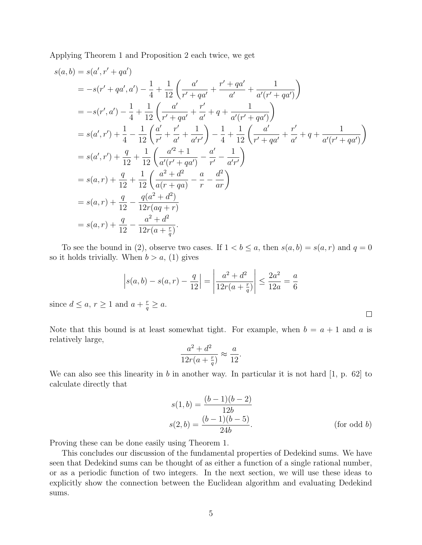Applying Theorem 1 and Proposition 2 each twice, we get

$$
s(a,b) = s(a',r'+qa')
$$
  
\n
$$
= -s(r'+qa',a') - \frac{1}{4} + \frac{1}{12} \left( \frac{a'}{r'+qa'} + \frac{r'+qa'}{a'} + \frac{1}{a'(r'+qa')} \right)
$$
  
\n
$$
= -s(r',a') - \frac{1}{4} + \frac{1}{12} \left( \frac{a'}{r'+qa'} + \frac{r'}{a'} + q + \frac{1}{a'(r'+qa')} \right)
$$
  
\n
$$
= s(a',r') + \frac{1}{4} - \frac{1}{12} \left( \frac{a'}{r'} + \frac{r'}{a'} + \frac{1}{a'r'} \right) - \frac{1}{4} + \frac{1}{12} \left( \frac{a'}{r'+qa'} + \frac{r'}{a'} + q + \frac{1}{a'(r'+qa')} \right)
$$
  
\n
$$
= s(a',r') + \frac{q}{12} + \frac{1}{12} \left( \frac{a'^2 + 1}{a'(r'+qa')} - \frac{a'}{r'} - \frac{1}{a'r'} \right)
$$
  
\n
$$
= s(a,r) + \frac{q}{12} + \frac{1}{12} \left( \frac{a^2 + d^2}{a(r+qa)} - \frac{a}{r} - \frac{d^2}{ar} \right)
$$
  
\n
$$
= s(a,r) + \frac{q}{12} - \frac{q(a^2 + d^2)}{12r(aq+r)}
$$
  
\n
$$
= s(a,r) + \frac{q}{12} - \frac{a^2 + d^2}{12r(a+\frac{r}{q})}.
$$

To see the bound in (2), observe two cases. If  $1 < b \le a$ , then  $s(a, b) = s(a, r)$  and  $q = 0$ so it holds trivially. When  $b > a$ , (1) gives

$$
\left| s(a,b) - s(a,r) - \frac{q}{12} \right| = \left| \frac{a^2 + d^2}{12r(a + \frac{r}{q})} \right| \le \frac{2a^2}{12a} = \frac{a}{6}
$$
  
and  $a + \frac{r}{2} > a$ .

since  $d \leq a, \, r \geq 1$  a  $rac{r}{q} \geq a.$ 

Note that this bound is at least somewhat tight. For example, when  $b = a + 1$  and a is relatively large,

$$
\frac{a^2 + d^2}{12r(a + \frac{r}{q})} \approx \frac{a}{12}.
$$

We can also see this linearity in b in another way. In particular it is not hard  $[1, p. 62]$  to calculate directly that

$$
s(1, b) = \frac{(b-1)(b-2)}{12b}
$$
  
\n
$$
s(2, b) = \frac{(b-1)(b-5)}{24b}.
$$
 (for odd b)

 $\Box$ 

Proving these can be done easily using Theorem 1.

This concludes our discussion of the fundamental properties of Dedekind sums. We have seen that Dedekind sums can be thought of as either a function of a single rational number, or as a periodic function of two integers. In the next section, we will use these ideas to explicitly show the connection between the Euclidean algorithm and evaluating Dedekind sums.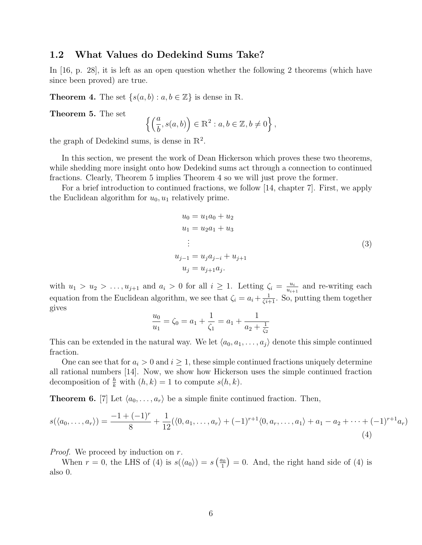#### 1.2 What Values do Dedekind Sums Take?

In [16, p. 28], it is left as an open question whether the following 2 theorems (which have since been proved) are true.

**Theorem 4.** The set  $\{s(a, b) : a, b \in \mathbb{Z}\}\)$  is dense in R.

Theorem 5. The set

$$
\left\{\left(\frac{a}{b},s(a,b)\right)\in\mathbb{R}^2:a,b\in\mathbb{Z},b\neq0\right\},
$$

the graph of Dedekind sums, is dense in  $\mathbb{R}^2$ .

In this section, we present the work of Dean Hickerson which proves these two theorems, while shedding more insight onto how Dedekind sums act through a connection to continued fractions. Clearly, Theorem 5 implies Theorem 4 so we will just prove the former.

For a brief introduction to continued fractions, we follow [14, chapter 7]. First, we apply the Euclidean algorithm for  $u_0, u_1$  relatively prime.

$$
u_0 = u_1 a_0 + u_2
$$
  
\n
$$
u_1 = u_2 a_1 + u_3
$$
  
\n
$$
\vdots
$$
  
\n
$$
u_{j-1} = u_j a_{j-i} + u_{j+1}
$$
  
\n
$$
u_j = u_{j+1} a_j.
$$
  
\n(3)

with  $u_1 > u_2 > \ldots, u_{j+1}$  and  $a_i > 0$  for all  $i \geq 1$ . Letting  $\zeta_i = \frac{u_i}{u_{i+1}}$  $\frac{u_i}{u_{i+1}}$  and re-writing each equation from the Euclidean algorithm, we see that  $\zeta_i = a_i + \frac{1}{\zeta_i+1}$ . So, putting them together gives

$$
\frac{u_0}{u_1} = \zeta_0 = a_1 + \frac{1}{\zeta_1} = a_1 + \frac{1}{a_2 + \frac{1}{\zeta_2}}
$$

This can be extended in the natural way. We let  $\langle a_0, a_1, \ldots, a_j \rangle$  denote this simple continued fraction.

One can see that for  $a_i > 0$  and  $i \geq 1$ , these simple continued fractions uniquely determine all rational numbers [14]. Now, we show how Hickerson uses the simple continued fraction decomposition of  $\frac{h}{k}$  with  $(h, k) = 1$  to compute  $s(h, k)$ .

**Theorem 6.** [7] Let  $\langle a_0, \ldots, a_r \rangle$  be a simple finite continued fraction. Then,

$$
s(\langle a_0, \ldots, a_r \rangle) = \frac{-1 + (-1)^r}{8} + \frac{1}{12} (\langle 0, a_1, \ldots, a_r \rangle + (-1)^{r+1} \langle 0, a_r, \ldots, a_1 \rangle + a_1 - a_2 + \cdots + (-1)^{r+1} a_r)
$$
\n(4)

*Proof.* We proceed by induction on r.

When  $r = 0$ , the LHS of (4) is  $s(\langle a_0 \rangle) = s\left(\frac{a_0}{1}\right)$  $\binom{a_0}{1}$  = 0. And, the right hand side of (4) is also 0.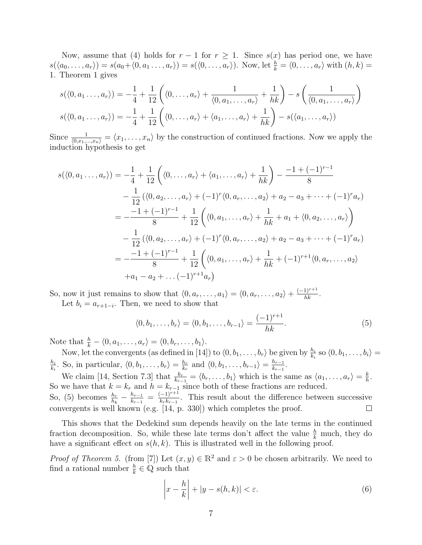Now, assume that (4) holds for  $r-1$  for  $r \geq 1$ . Since  $s(x)$  has period one, we have  $s(\langle a_0, \ldots, a_r \rangle) = s(a_0 + \langle 0, a_1 \ldots, a_r \rangle) = s(\langle 0, \ldots, a_r \rangle)$ . Now, let  $\frac{h}{k} = \langle 0, \ldots, a_r \rangle$  with  $(h, k) =$ 1. Theorem 1 gives

$$
s(\langle 0, a_1 \dots, a_r \rangle) = -\frac{1}{4} + \frac{1}{12} \left( \langle 0, \dots, a_r \rangle + \frac{1}{\langle 0, a_1, \dots, a_r \rangle} + \frac{1}{hk} \right) - s \left( \frac{1}{\langle 0, a_1, \dots, a_r \rangle} \right)
$$

$$
s(\langle 0, a_1 \dots, a_r \rangle) = -\frac{1}{4} + \frac{1}{12} \left( \langle 0, \dots, a_r \rangle + \langle a_1, \dots, a_r \rangle + \frac{1}{hk} \right) - s(\langle a_1, \dots, a_r \rangle)
$$

Since  $\frac{1}{(0,x_1,...,x_n)} = \langle x_1,...,x_n \rangle$  by the construction of continued fractions. Now we apply the induction hypothesis to get

$$
s(\langle 0, a_1..., a_r \rangle) = -\frac{1}{4} + \frac{1}{12} \left( \langle 0,..., a_r \rangle + \langle a_1,..., a_r \rangle + \frac{1}{hk} \right) - \frac{-1 + (-1)^{r-1}}{8}
$$
  

$$
- \frac{1}{12} (\langle 0, a_2,..., a_r \rangle + (-1)^r \langle 0, a_r,..., a_2 \rangle + a_2 - a_3 + \dots + (-1)^r a_r)
$$
  

$$
= -\frac{-1 + (-1)^{r-1}}{8} + \frac{1}{12} \left( \langle 0, a_1,..., a_r \rangle + \frac{1}{hk} + a_1 + \langle 0, a_2,..., a_r \rangle \right)
$$
  

$$
- \frac{1}{12} (\langle 0, a_2,..., a_r \rangle + (-1)^r \langle 0, a_r,..., a_2 \rangle + a_2 - a_3 + \dots + (-1)^r a_r)
$$
  

$$
= -\frac{-1 + (-1)^{r-1}}{8} + \frac{1}{12} \left( \langle 0, a_1,..., a_r \rangle + \frac{1}{hk} + (-1)^{r+1} \langle 0, a_r,..., a_2 \rangle + a_1 - a_2 + \dots + (-1)^{r+1} a_r \right)
$$

So, now it just remains to show that  $\langle 0, a_r, \ldots, a_1 \rangle = \langle 0, a_r, \ldots, a_2 \rangle + \frac{(-1)^{r+1}}{hk}$ . Let  $b_i = a_{r+1-i}$ . Then, we need to show that

$$
\langle 0, b_1, \ldots, b_r \rangle = \langle 0, b_1, \ldots, b_{r-1} \rangle = \frac{(-1)^{r+1}}{hk}.
$$
 (5)

Note that  $\frac{h}{k} - \langle 0, a_1, \ldots, a_r \rangle = \langle 0, b_r, \ldots, b_1 \rangle$ .

Now, let the convergents (as defined in [14]) to  $\langle 0, b_1, \ldots, b_r \rangle$  be given by  $\frac{h_i}{k_i}$  so  $\langle 0, b_1, \ldots, b_i \rangle =$  $h_i$  $\frac{h_i}{k_i}$ . So, in particular,  $\langle 0, b_1, \ldots, b_r \rangle = \frac{h_r}{k_r}$  $\frac{h_r}{k_r}$  and  $\langle 0, b_1, \ldots, b_{r-1} \rangle = \frac{h_{r-1}}{k_{r-1}}$  $\frac{h_{r-1}}{k_{r-1}}$ .

We claim [14, Section 7.3] that  $\frac{k_r}{k_{r-1}} = \langle b_r, \ldots, b_1 \rangle$  which is the same as  $\langle a_1, \ldots, a_r \rangle = \frac{k}{h}$  $\frac{k}{h}$ . So we have that  $k = k_r$  and  $h = k_{r-1}$  since both of these fractions are reduced.  $\frac{h_{r-1}}{k_{r-1}} = \frac{(-1)^{r+1}}{k_r k_{r-1}}$ So, (5) becomes  $\frac{h_r}{h_k} - \frac{h_{r-1}}{k_{r-1}}$  $\frac{(-1)^{r+1}}{k_r k_{r-1}}$ . This result about the difference between successive convergents is well known (e.g. [14, p. 330]) which completes the proof.  $\Box$ 

This shows that the Dedekind sum depends heavily on the late terms in the continued fraction decomposition. So, while these late terms don't affect the value  $\frac{h}{k}$  much, they do have a significant effect on  $s(h, k)$ . This is illustrated well in the following proof.

*Proof of Theorem 5.* (from [7]) Let  $(x, y) \in \mathbb{R}^2$  and  $\varepsilon > 0$  be chosen arbitrarily. We need to find a rational number  $\frac{h}{k} \in \mathbb{Q}$  such that

$$
\left| x - \frac{h}{k} \right| + \left| y - s(h, k) \right| < \varepsilon. \tag{6}
$$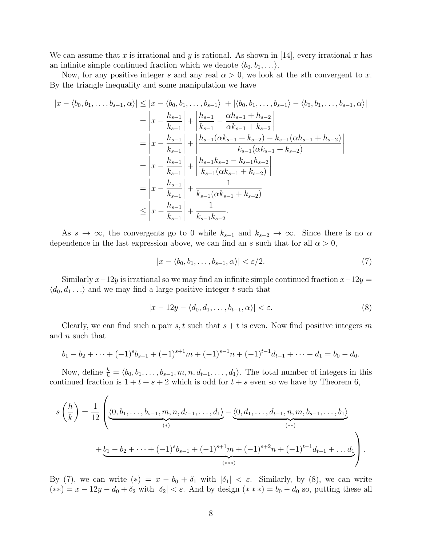We can assume that x is irrational and y is rational. As shown in  $[14]$ , every irrational x has an infinite simple continued fraction which we denote  $\langle b_0, b_1, \ldots \rangle$ .

Now, for any positive integer s and any real  $\alpha > 0$ , we look at the sth convergent to x. By the triangle inequality and some manipulation we have

$$
|x - \langle b_0, b_1, \dots, b_{s-1}, \alpha \rangle| \le |x - \langle b_0, b_1, \dots, b_{s-1} \rangle| + |\langle b_0, b_1, \dots, b_{s-1} \rangle - \langle b_0, b_1, \dots, b_{s-1}, \alpha \rangle|
$$
  
\n
$$
= \left| x - \frac{h_{s-1}}{k_{s-1}} \right| + \left| \frac{h_{s-1}}{k_{s-1}} - \frac{\alpha h_{s-1} + h_{s-2}}{\alpha k_{s-1} + k_{s-2}} \right|
$$
  
\n
$$
= \left| x - \frac{h_{s-1}}{k_{s-1}} \right| + \left| \frac{h_{s-1}(\alpha k_{s-1} + k_{s-2}) - k_{s-1}(\alpha h_{s-1} + h_{s-2})}{k_{s-1}(\alpha k_{s-1} + k_{s-2})} \right|
$$
  
\n
$$
= \left| x - \frac{h_{s-1}}{k_{s-1}} \right| + \left| \frac{h_{s-1}k_{s-2} - k_{s-1}h_{s-2}}{k_{s-1}(\alpha k_{s-1} + k_{s-2})} \right|
$$
  
\n
$$
= \left| x - \frac{h_{s-1}}{k_{s-1}} \right| + \frac{1}{k_{s-1}(\alpha k_{s-1} + k_{s-2})}
$$
  
\n
$$
\le \left| x - \frac{h_{s-1}}{k_{s-1}} \right| + \frac{1}{k_{s-1}k_{s-2}}.
$$

As  $s \to \infty$ , the convergents go to 0 while  $k_{s-1}$  and  $k_{s-2} \to \infty$ . Since there is no  $\alpha$ dependence in the last expression above, we can find an s such that for all  $\alpha > 0$ ,

$$
|x - \langle b_0, b_1, \dots, b_{s-1}, \alpha \rangle| < \varepsilon/2. \tag{7}
$$

Similarly  $x-12y$  is irrational so we may find an infinite simple continued fraction  $x-12y =$  $\langle d_0, d_1 \dots \rangle$  and we may find a large positive integer t such that

$$
|x - 12y - \langle d_0, d_1, \dots, b_{t-1}, \alpha \rangle| < \varepsilon. \tag{8}
$$

Clearly, we can find such a pair s, t such that  $s + t$  is even. Now find positive integers m and n such that

$$
b_1-b_2+\cdots+(-1)^s b_{s-1}+(-1)^{s+1}m+(-1)^{s-1}n+(-1)^{t-1}d_{t-1}+\cdots-d_1=b_0-d_0.
$$

Now, define  $\frac{h}{k} = \langle b_0, b_1, \ldots, b_{s-1}, m, n, d_{t-1}, \ldots, d_1 \rangle$ . The total number of integers in this continued fraction is  $1 + t + s + 2$  which is odd for  $t + s$  even so we have by Theorem 6,

$$
s\left(\frac{h}{k}\right) = \frac{1}{12} \left( \underbrace{\langle 0, b_1, \dots, b_{s-1}, m, n, d_{t-1}, \dots, d_1 \rangle}_{(*)} - \underbrace{\langle 0, d_1, \dots, d_{t-1}, n, m, b_{s-1}, \dots, b_1 \rangle}_{(**)} + \underbrace{b_1 - b_2 + \dots + (-1)^s b_{s-1} + (-1)^{s+1} m + (-1)^{s+2} n + (-1)^{t-1} d_{t-1} + \dots d_1}_{(**)}
$$

By (7), we can write  $(*) = x - b_0 + \delta_1$  with  $|\delta_1| < \varepsilon$ . Similarly, by (8), we can write  $(**) = x - 12y - d_0 + \delta_2$  with  $|\delta_2| < \varepsilon$ . And by design  $(**) = b_0 - d_0$  so, putting these all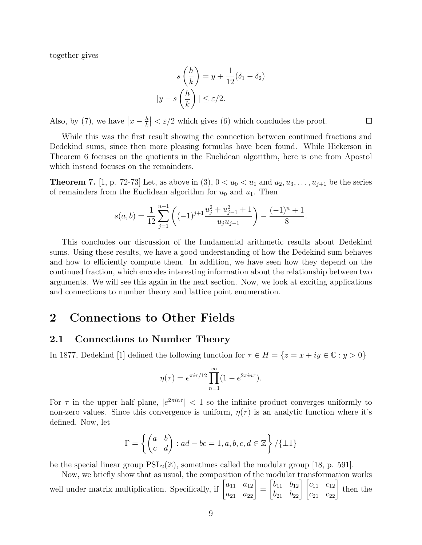together gives

$$
s\left(\frac{h}{k}\right) = y + \frac{1}{12}(\delta_1 - \delta_2)
$$

$$
|y - s\left(\frac{h}{k}\right)| \le \varepsilon/2.
$$

 $\Box$ 

Also, by (7), we have  $\left| x - \frac{h}{k} \right|$  $\left|\frac{h}{k}\right| < \varepsilon/2$  which gives (6) which concludes the proof.

While this was the first result showing the connection between continued fractions and Dedekind sums, since then more pleasing formulas have been found. While Hickerson in Theorem 6 focuses on the quotients in the Euclidean algorithm, here is one from Apostol which instead focuses on the remainders.

**Theorem 7.** [1, p. 72-73] Let, as above in (3),  $0 < u_0 < u_1$  and  $u_2, u_3, \ldots, u_{j+1}$  be the series of remainders from the Euclidean algorithm for  $u_0$  and  $u_1$ . Then

$$
s(a,b) = \frac{1}{12} \sum_{j=1}^{n+1} \left( (-1)^{j+1} \frac{u_j^2 + u_{j-1}^2 + 1}{u_j u_{j-1}} \right) - \frac{(-1)^n + 1}{8}.
$$

This concludes our discussion of the fundamental arithmetic results about Dedekind sums. Using these results, we have a good understanding of how the Dedekind sum behaves and how to efficiently compute them. In addition, we have seen how they depend on the continued fraction, which encodes interesting information about the relationship between two arguments. We will see this again in the next section. Now, we look at exciting applications and connections to number theory and lattice point enumeration.

### 2 Connections to Other Fields

### 2.1 Connections to Number Theory

In 1877, Dedekind [1] defined the following function for  $\tau \in H = \{z = x + iy \in \mathbb{C} : y > 0\}$ 

$$
\eta(\tau) = e^{\pi i \tau/12} \prod_{n=1}^{\infty} (1 - e^{2\pi i n \tau}).
$$

For  $\tau$  in the upper half plane,  $|e^{2\pi in\tau}| < 1$  so the infinite product converges uniformly to non-zero values. Since this convergence is uniform,  $\eta(\tau)$  is an analytic function where it's defined. Now, let

$$
\Gamma = \left\{ \begin{pmatrix} a & b \\ c & d \end{pmatrix} : ad - bc = 1, a, b, c, d \in \mathbb{Z} \right\} / \{ \pm 1 \}
$$

be the special linear group  $PSL_2(\mathbb{Z})$ , sometimes called the modular group [18, p. 591].

Now, we briefly show that as usual, the composition of the modular transformation works well under matrix multiplication. Specifically, if  $\begin{bmatrix} a_{11} & a_{12} \\ a_{21} & a_{22} \end{bmatrix}$ =  $\begin{bmatrix} b_{11} & b_{12} \\ b_{21} & b_{22} \end{bmatrix} \begin{bmatrix} c_{11} & c_{12} \\ c_{21} & c_{22} \end{bmatrix}$ then the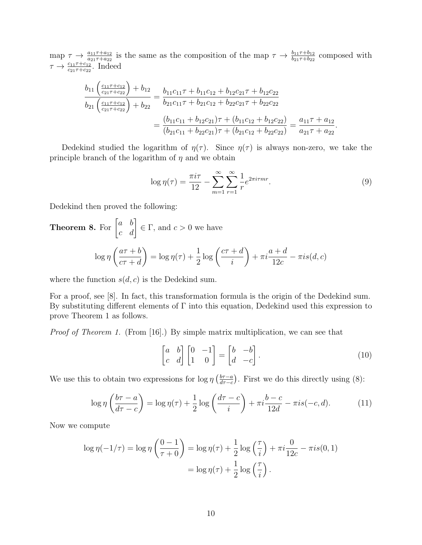map  $\tau \to \frac{a_{11}\tau + a_{12}}{a_{21}\tau + a_{22}}$  is the same as the composition of the map  $\tau \to \frac{b_{11}\tau + b_{12}}{b_{21}\tau + b_{22}}$  composed with  $\tau \rightarrow \frac{c_{11}\tau + c_{12}}{c_{21}\tau + c_{22}}$ . Indeed

$$
\frac{b_{11}\left(\frac{c_{11}\tau+c_{12}}{c_{21}\tau+c_{22}}\right)+b_{12}}{b_{21}\left(\frac{c_{11}\tau+c_{12}}{c_{21}\tau+c_{22}}\right)+b_{22}} = \frac{b_{11}c_{11}\tau+b_{11}c_{12}+b_{12}c_{21}\tau+b_{12}c_{22}}{b_{21}c_{11}\tau+b_{21}c_{12}+b_{22}c_{21}\tau+b_{22}c_{22}} = \frac{(b_{11}c_{11}+b_{12}c_{21})\tau+(b_{11}c_{12}+b_{12}c_{22})}{(b_{21}c_{11}+b_{22}c_{21})\tau+(b_{21}c_{12}+b_{22}c_{22})} = \frac{a_{11}\tau+a_{12}}{a_{21}\tau+a_{22}}.
$$

Dedekind studied the logarithm of  $\eta(\tau)$ . Since  $\eta(\tau)$  is always non-zero, we take the principle branch of the logarithm of  $\eta$  and we obtain

$$
\log \eta(\tau) = \frac{\pi i \tau}{12} - \sum_{m=1}^{\infty} \sum_{r=1}^{\infty} \frac{1}{r} e^{2\pi i \tau m r}.
$$
\n(9)

Dedekind then proved the following:

**Theorem 8.** For 
$$
\begin{bmatrix} a & b \\ c & d \end{bmatrix} \in \Gamma
$$
, and  $c > 0$  we have  

$$
\log \eta \left( \frac{a\tau + b}{c\tau + d} \right) = \log \eta(\tau) + \frac{1}{2} \log \left( \frac{c\tau + d}{i} \right) + \pi i \frac{a + d}{12c} - \pi i s(d, c)
$$

where the function  $s(d, c)$  is the Dedekind sum.

For a proof, see [8]. In fact, this transformation formula is the origin of the Dedekind sum. By substituting different elements of  $\Gamma$  into this equation, Dedekind used this expression to prove Theorem 1 as follows.

Proof of Theorem 1. (From [16].) By simple matrix multiplication, we can see that

$$
\begin{bmatrix} a & b \\ c & d \end{bmatrix} \begin{bmatrix} 0 & -1 \\ 1 & 0 \end{bmatrix} = \begin{bmatrix} b & -b \\ d & -c \end{bmatrix}.
$$
 (10)

We use this to obtain two expressions for  $\log \eta \left( \frac{b\tau-a}{d\tau-c} \right)$  $\frac{b\tau-a}{d\tau-c}$ ). First we do this directly using (8):

$$
\log \eta \left( \frac{b\tau - a}{d\tau - c} \right) = \log \eta(\tau) + \frac{1}{2} \log \left( \frac{d\tau - c}{i} \right) + \pi i \frac{b - c}{12d} - \pi i s(-c, d). \tag{11}
$$

Now we compute

$$
\log \eta(-1/\tau) = \log \eta \left(\frac{0-1}{\tau+0}\right) = \log \eta(\tau) + \frac{1}{2}\log\left(\frac{\tau}{i}\right) + \pi i \frac{0}{12c} - \pi i s(0,1)
$$

$$
= \log \eta(\tau) + \frac{1}{2}\log\left(\frac{\tau}{i}\right).
$$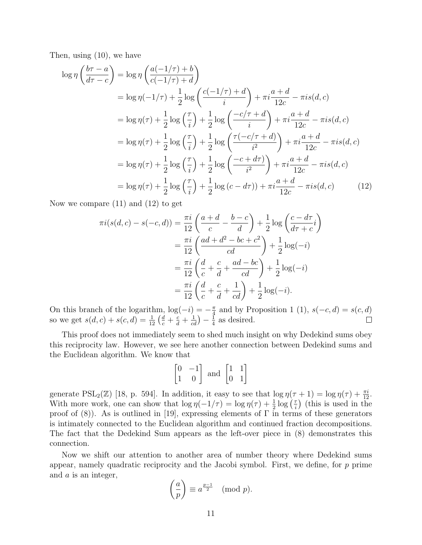Then, using (10), we have

$$
\log \eta \left( \frac{b\tau - a}{d\tau - c} \right) = \log \eta \left( \frac{a(-1/\tau) + b}{c(-1/\tau) + d} \right)
$$
  
\n
$$
= \log \eta (-1/\tau) + \frac{1}{2} \log \left( \frac{c(-1/\tau) + d}{i} \right) + \pi i \frac{a + d}{12c} - \pi i s(d, c)
$$
  
\n
$$
= \log \eta(\tau) + \frac{1}{2} \log \left( \frac{\tau}{i} \right) + \frac{1}{2} \log \left( \frac{-c/\tau + d}{i} \right) + \pi i \frac{a + d}{12c} - \pi i s(d, c)
$$
  
\n
$$
= \log \eta(\tau) + \frac{1}{2} \log \left( \frac{\tau}{i} \right) + \frac{1}{2} \log \left( \frac{\tau(-c/\tau + d)}{i^2} \right) + \pi i \frac{a + d}{12c} - \pi i s(d, c)
$$
  
\n
$$
= \log \eta(\tau) + \frac{1}{2} \log \left( \frac{\tau}{i} \right) + \frac{1}{2} \log \left( \frac{-c + d\tau}{i^2} \right) + \pi i \frac{a + d}{12c} - \pi i s(d, c)
$$
  
\n
$$
= \log \eta(\tau) + \frac{1}{2} \log \left( \frac{\tau}{i} \right) + \frac{1}{2} \log (c - d\tau) + \pi i \frac{a + d}{12c} - \pi i s(d, c) \tag{12}
$$

Now we compare (11) and (12) to get

$$
\pi i(s(d, c) - s(-c, d)) = \frac{\pi i}{12} \left( \frac{a + d}{c} - \frac{b - c}{d} \right) + \frac{1}{2} \log \left( \frac{c - d\tau}{d\tau + c} i \right)
$$
  

$$
= \frac{\pi i}{12} \left( \frac{ad + d^2 - bc + c^2}{cd} \right) + \frac{1}{2} \log(-i)
$$
  

$$
= \frac{\pi i}{12} \left( \frac{d}{c} + \frac{c}{d} + \frac{ad - bc}{cd} \right) + \frac{1}{2} \log(-i)
$$
  

$$
= \frac{\pi i}{12} \left( \frac{d}{c} + \frac{c}{d} + \frac{1}{cd} \right) + \frac{1}{2} \log(-i).
$$

On this branch of the logarithm,  $\log(-i) = -\frac{\pi}{4}$  $\frac{\pi}{4}$  and by Proposition 1 (1),  $s(-c, d) = s(c, d)$ so we get  $s(d, c) + s(c, d) = \frac{1}{12} \left( \frac{d}{c} + \frac{c}{d} + \frac{1}{cd} \right) - \frac{1}{4}$  $\frac{1}{4}$  as desired.  $\Box$ 

This proof does not immediately seem to shed much insight on why Dedekind sums obey this reciprocity law. However, we see here another connection between Dedekind sums and the Euclidean algorithm. We know that

$$
\begin{bmatrix} 0 & -1 \\ 1 & 0 \end{bmatrix}
$$
 and 
$$
\begin{bmatrix} 1 & 1 \\ 0 & 1 \end{bmatrix}
$$

generate  $PSL_2(\mathbb{Z})$  [18, p. 594]. In addition, it easy to see that  $\log \eta(\tau+1) = \log \eta(\tau) + \frac{\pi i}{12}$ . With more work, one can show that  $\log \eta(-1/\tau) = \log \eta(\tau) + \frac{1}{2} \log \left(\frac{\tau}{i}\right)$  $\left(\frac{\tau}{i}\right)$  (this is used in the proof of  $(8)$ ). As is outlined in [19], expressing elements of  $\Gamma$  in terms of these generators is intimately connected to the Euclidean algorithm and continued fraction decompositions. The fact that the Dedekind Sum appears as the left-over piece in (8) demonstrates this connection.

Now we shift our attention to another area of number theory where Dedekind sums appear, namely quadratic reciprocity and the Jacobi symbol. First, we define, for  $p$  prime and a is an integer,

$$
\left(\frac{a}{p}\right) \equiv a^{\frac{p-1}{2}} \pmod{p}.
$$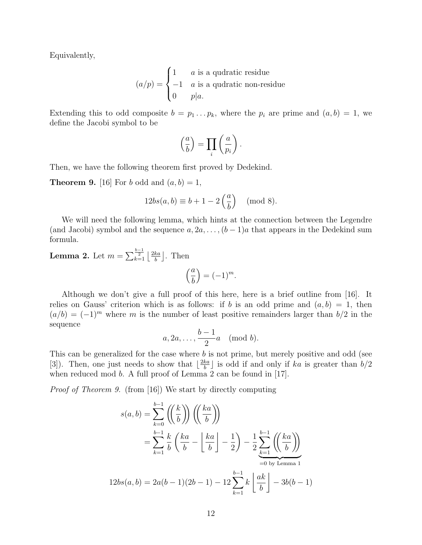Equivalently,

$$
(a/p) = \begin{cases} 1 & a \text{ is a quadratic residue} \\ -1 & a \text{ is a quadratic non-residue} \\ 0 & p|a. \end{cases}
$$

Extending this to odd composite  $b = p_1 \dots p_k$ , where the  $p_i$  are prime and  $(a, b) = 1$ , we define the Jacobi symbol to be

$$
\left(\frac{a}{b}\right) = \prod_i \left(\frac{a}{p_i}\right).
$$

Then, we have the following theorem first proved by Dedekind.

**Theorem 9.** [16] For b odd and  $(a, b) = 1$ ,

$$
12bs(a,b) \equiv b+1-2\left(\frac{a}{b}\right) \pmod{8}.
$$

We will need the following lemma, which hints at the connection between the Legendre (and Jacobi) symbol and the sequence  $a, 2a, \ldots, (b-1)a$  that appears in the Dedekind sum formula.

**Lemma 2.** Let 
$$
m = \sum_{k=1}^{\frac{b-1}{2}} \left\lfloor \frac{2ka}{b} \right\rfloor
$$
. Then  
\n
$$
\left(\frac{a}{b}\right) = (-1)^m.
$$

Although we don't give a full proof of this here, here is a brief outline from [16]. It relies on Gauss' criterion which is as follows: if b is an odd prime and  $(a, b) = 1$ , then  $(a/b) = (-1)^m$  where m is the number of least positive remainders larger than  $b/2$  in the sequence

$$
a, 2a, \ldots, \frac{b-1}{2}a \pmod{b}.
$$

This can be generalized for the case where b is not prime, but merely positive and odd (see [3]). Then, one just needs to show that  $\left|\frac{2ka}{b}\right|$  $\frac{ka}{b}$  is odd if and only if ka is greater than  $b/2$ when reduced mod b. A full proof of Lemma 2 can be found in [17].

Proof of Theorem 9. (from [16]) We start by directly computing

$$
s(a,b) = \sum_{k=0}^{b-1} \left( \left(\frac{k}{b}\right) \right) \left( \left(\frac{ka}{b}\right) \right)
$$
  
= 
$$
\sum_{k=1}^{b-1} \frac{k}{b} \left( \frac{ka}{b} - \left\lfloor \frac{ka}{b} \right\rfloor - \frac{1}{2} \right) - \frac{1}{2} \sum_{k=1}^{b-1} \left( \left(\frac{ka}{b}\right) \right)
$$
  
= 
$$
2a(b-1)(2b-1) - 12 \sum_{k=1}^{b-1} k \left\lfloor \frac{ak}{b} \right\rfloor - 3b(b-1)
$$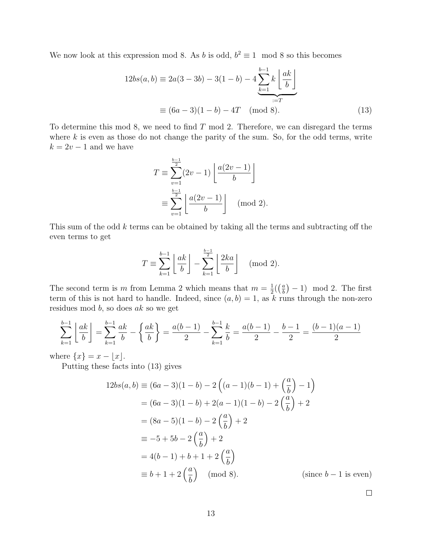We now look at this expression mod 8. As b is odd,  $b^2 \equiv 1 \mod 8$  so this becomes

$$
12bs(a, b) \equiv 2a(3 - 3b) - 3(1 - b) - 4\sum_{k=1}^{b-1} k \left\lfloor \frac{ak}{b} \right\rfloor
$$

$$
\equiv (6a - 3)(1 - b) - 4T \pmod{8}.
$$
(13)

To determine this mod 8, we need to find  $T$  mod 2. Therefore, we can disregard the terms where  $k$  is even as those do not change the parity of the sum. So, for the odd terms, write  $k = 2v - 1$  and we have

$$
T \equiv \sum_{v=1}^{\frac{b-1}{2}} (2v - 1) \left[ \frac{a(2v - 1)}{b} \right]
$$
  

$$
\equiv \sum_{v=1}^{\frac{b-1}{2}} \left[ \frac{a(2v - 1)}{b} \right] \pmod{2}.
$$

This sum of the odd k terms can be obtained by taking all the terms and subtracting off the even terms to get

$$
T \equiv \sum_{k=1}^{b-1} \left\lfloor \frac{ak}{b} \right\rfloor - \sum_{k=1}^{\frac{b-1}{2}} \left\lfloor \frac{2ka}{b} \right\rfloor \pmod{2}.
$$

The second term is m from Lemma 2 which means that  $m = \frac{1}{2}$  $rac{1}{2}$  $\left(\frac{a}{b}\right)$  $\binom{a}{b}$  – 1) mod 2. The first term of this is not hard to handle. Indeed, since  $(a, b) = 1$ , as k runs through the non-zero residues mod b, so does ak so we get

$$
\sum_{k=1}^{b-1} \left\lfloor \frac{ak}{b} \right\rfloor = \sum_{k=1}^{b-1} \frac{ak}{b} - \left\{ \frac{ak}{b} \right\} = \frac{a(b-1)}{2} - \sum_{k=1}^{b-1} \frac{k}{b} = \frac{a(b-1)}{2} - \frac{b-1}{2} = \frac{(b-1)(a-1)}{2}
$$

where  $\{x\} = x - |x|$ .

Putting these facts into (13) gives

$$
12bs(a, b) \equiv (6a - 3)(1 - b) - 2((a - 1)(b - 1) + (\frac{a}{b}) - 1)
$$
  
=  $(6a - 3)(1 - b) + 2(a - 1)(1 - b) - 2(\frac{a}{b}) + 2$   
=  $(8a - 5)(1 - b) - 2(\frac{a}{b}) + 2$   
 $\equiv -5 + 5b - 2(\frac{a}{b}) + 2$   
=  $4(b - 1) + b + 1 + 2(\frac{a}{b})$   
 $\equiv b + 1 + 2(\frac{a}{b}) \pmod{8}.$  (since  $b - 1$  is even)

 $\Box$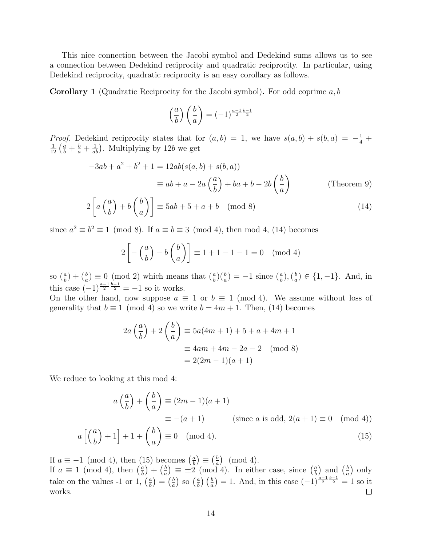This nice connection between the Jacobi symbol and Dedekind sums allows us to see a connection between Dedekind reciprocity and quadratic reciprocity. In particular, using Dedekind reciprocity, quadratic reciprocity is an easy corollary as follows.

**Corollary 1** (Quadratic Reciprocity for the Jacobi symbol). For odd coprime  $a, b$ 

$$
\left(\frac{a}{b}\right)\left(\frac{b}{a}\right) = (-1)^{\frac{a-1}{2}\frac{b-1}{2}}
$$

*Proof.* Dedekind reciprocity states that for  $(a, b) = 1$ , we have  $s(a, b) + s(b, a) = -\frac{1}{4} +$  $\frac{1}{12} \left( \frac{a}{b} + \frac{b}{a} + \frac{1}{ab} \right)$ . Multiplying by 12b we get

$$
-3ab + a2 + b2 + 1 = 12ab(s(a, b) + s(b, a))
$$
  

$$
\equiv ab + a - 2a\left(\frac{a}{b}\right) + ba + b - 2b\left(\frac{b}{a}\right)
$$
 (Theorem 9)

$$
2\left[a\left(\frac{a}{b}\right) + b\left(\frac{b}{a}\right)\right] \equiv 5ab + 5 + a + b \pmod{8} \tag{14}
$$

since  $a^2 \equiv b^2 \equiv 1 \pmod{8}$ . If  $a \equiv b \equiv 3 \pmod{4}$ , then mod 4, (14) becomes

$$
2\left[-\left(\frac{a}{b}\right) - b\left(\frac{b}{a}\right)\right] \equiv 1 + 1 - 1 - 1 = 0 \pmod{4}
$$

so  $(\frac{a}{b}) + (\frac{b}{a}) \equiv 0 \pmod{2}$  which means that  $(\frac{a}{b})(\frac{b}{a}) = -1$  since  $(\frac{a}{b}), (\frac{b}{a})$  $\frac{b}{a}$ )  $\in \{1, -1\}$ . And, in this case  $(-1)^{\frac{a-1}{2}\frac{b-1}{2}} = -1$  so it works.

On the other hand, now suppose  $a \equiv 1$  or  $b \equiv 1 \pmod{4}$ . We assume without loss of generality that  $b \equiv 1 \pmod{4}$  so we write  $b = 4m + 1$ . Then, (14) becomes

$$
2a\left(\frac{a}{b}\right) + 2\left(\frac{b}{a}\right) \equiv 5a(4m+1) + 5 + a + 4m + 1
$$
  

$$
\equiv 4am + 4m - 2a - 2 \pmod{8}
$$
  

$$
= 2(2m - 1)(a + 1)
$$

We reduce to looking at this mod 4:

$$
a\left(\frac{a}{b}\right) + \left(\frac{b}{a}\right) \equiv (2m - 1)(a + 1)
$$
  

$$
\equiv -(a + 1) \qquad \text{(since } a \text{ is odd, } 2(a + 1) \equiv 0 \pmod{4}
$$

$$
a\left[\left(\frac{a}{b}\right)+1\right]+1+\left(\frac{b}{a}\right)\equiv 0 \pmod{4}.\tag{15}
$$

If  $a \equiv -1 \pmod{4}$ , then (15) becomes  $\left(\frac{a}{b}\right)$  $\left(\frac{a}{b}\right) \equiv \left(\frac{b}{a}\right)$  $\left(\frac{b}{a}\right)$  (mod 4). If  $a \equiv 1 \pmod{4}$ , then  $\left(\frac{a}{b}\right)$  $\left(\frac{a}{b}\right)+\left(\frac{b}{a}\right)$  $\left(\frac{b}{a}\right) \equiv \pm 2 \pmod{4}$ . In either case, since  $\left(\frac{a}{b}\right)$  $\left(\frac{a}{b}\right)$  and  $\left(\frac{b}{a}\right)$  $\frac{b}{a}$  only  $\frac{a}{b}$   $\left(\frac{b}{a}\right) = 1$ . And, in this case  $\left(-1\right)^{\frac{a-1}{2}\frac{b-1}{2}} = 1$  so it take on the values -1 or 1,  $\left(\frac{a}{b}\right)$  $\left(\frac{a}{b}\right) = \left(\frac{b}{a}\right)$  $\frac{b}{a}$ ) so  $\left(\frac{a}{b}\right)$ works.  $\Box$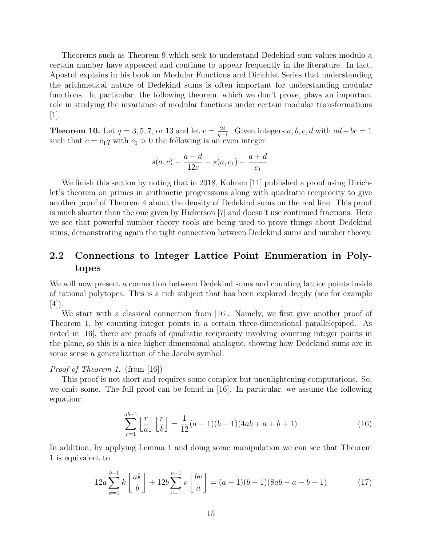Theorems such as Theorem 9 which seek to understand Dedekind sum values modulo a certain number have appeared and continue to appear frequently in the literature. In fact, Apostol explains in his book on Modular Functions and Dirichlet Series that understanding the arithmetical nature of Dedekind sums is often important for understanding modular functions. In particular, the following theorem, which we don't prove, plays an important role in studying the invariance of modular functions under certain modular transformations  $|1|.$ 

**Theorem 10.** Let  $q = 3, 5, 7$ , or 13 and let  $r = \frac{24}{q}$  $\frac{24}{q-1}$ . Given integers a, b, c, d with  $ad-bc=1$ such that  $c = c_1q$  with  $c_1 > 0$  the following is an even integer

$$
s(a,c) - \frac{a+d}{12c} - s(a,c_1) - \frac{a+d}{c_1}.
$$

We finish this section by noting that in 2018, Kohnen [11] published a proof using Dirichlet's theorem on primes in arithmetic progressions along with quadratic reciprocity to give another proof of Theorem 4 about the density of Dedekind sums on the real line. This proof is much shorter than the one given by Hickerson [7] and doesn't use continued fractions. Here we see that powerful number theory tools are being used to prove things about Dedekind sums, demonstrating again the tight connection between Dedekind sums and number theory.

### 2.2 Connections to Integer Lattice Point Enumeration in Polytopes

We will now present a connection between Dedekind sums and counting lattice points inside of rational polytopes. This is a rich subject that has been explored deeply (see for example [4]).

We start with a classical connection from [16]. Namely, we first give another proof of Theorem 1, by counting integer points in a certain three-dimensional parallelepiped. As noted in [16], there are proofs of quadratic reciprocity involving counting integer points in the plane, so this is a nice higher dimensional analogue, showing how Dedekind sums are in some sense a generalization of the Jacobi symbol.

#### Proof of Theorem 1. (from [16])

This proof is not short and requires some complex but unenlightening computations. So, we omit some. The full proof can be fonud in [16]. In particular, we assume the following equation:

$$
\sum_{r=1}^{ab-1} \left\lfloor \frac{r}{a} \right\rfloor \left\lfloor \frac{r}{b} \right\rfloor = \frac{1}{12}(a-1)(b-1)(4ab+a+b+1)
$$
 (16)

In addition, by applying Lemma 1 and doing some manipulation we can see that Theorem 1 is equivalent to

$$
12a\sum_{k=1}^{b-1} k\left\lfloor \frac{ak}{b} \right\rfloor + 12b\sum_{v=1}^{a-1} v\left\lfloor \frac{bv}{a} \right\rfloor = (a-1)(b-1)(8ab - a - b - 1) \tag{17}
$$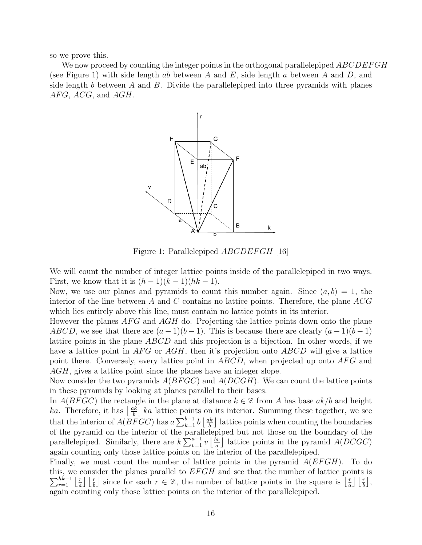so we prove this.

We now proceed by counting the integer points in the orthogonal parallelepiped  $\it ABCDEFGH$ (see Figure 1) with side length ab between A and E, side length a between A and D, and side length b between A and B. Divide the parallelepiped into three pyramids with planes  $AFG, ACG,$  and  $AGH$ .



Figure 1: Parallelepiped *ABCDEFGH* [16]

We will count the number of integer lattice points inside of the parallelepiped in two ways. First, we know that it is  $(h-1)(k-1)(hk-1)$ .

Now, we use our planes and pyramids to count this number again. Since  $(a, b) = 1$ , the interior of the line between A and C contains no lattice points. Therefore, the plane  $ACG$ which lies entirely above this line, must contain no lattice points in its interior.

However the planes  $AFG$  and  $AGH$  do. Projecting the lattice points down onto the plane ABCD, we see that there are  $(a-1)(b-1)$ . This is because there are clearly  $(a-1)(b-1)$ lattice points in the plane ABCD and this projection is a bijection. In other words, if we have a lattice point in  $AFG$  or  $AGH$ , then it's projection onto  $ABCD$  will give a lattice point there. Conversely, every lattice point in  $ABCD$ , when projected up onto  $AFG$  and AGH, gives a lattice point since the planes have an integer slope.

Now consider the two pyramids  $A(BFGC)$  and  $A(DCGH)$ . We can count the lattice points in these pyramids by looking at planes parallel to their bases.

In  $A(BFGC)$  the rectangle in the plane at distance  $k \in \mathbb{Z}$  from A has base  $ak/b$  and height *ka*. Therefore, it has  $\frac{ak}{h}$  $\frac{bk}{b}$  ka lattice points on its interior. Summing these together, we see that the interior of  $A(BFGC)$  has  $a \sum_{k=1}^{b-1} b \left\lfloor \frac{ak}{b} \right\rfloor$  $\frac{bk}{b}$  lattice points when counting the boundaries of the pyramid on the interior of the parallelepiped but not those on the boundary of the parallelepiped. Similarly, there are  $k \sum_{v=1}^{a-1} v \left\lfloor \frac{bv}{a} \right\rfloor$  $\frac{\partial v}{\partial a}$  lattice points in the pyramid  $A(DCGC)$ again counting only those lattice points on the interior of the parallelepiped.

Finally, we must count the number of lattice points in the pyramid  $A(EFGH)$ . To do this, we consider the planes parallel to  $EFGH$  and see that the number of lattice points is  $\sum_{r=1}^{hk-1} \left\lfloor \frac{r}{a} \right\rfloor$  $\frac{r}{a} \left| \frac{r}{b} \right|$  since for each  $r \in \mathbb{Z}$ , the number of lattice points in the square is  $\left| \frac{r}{a} \right|$  $\frac{r}{a}$   $\lfloor \frac{r}{b} \rfloor$ , again counting only those lattice points on the interior of the parallelepiped.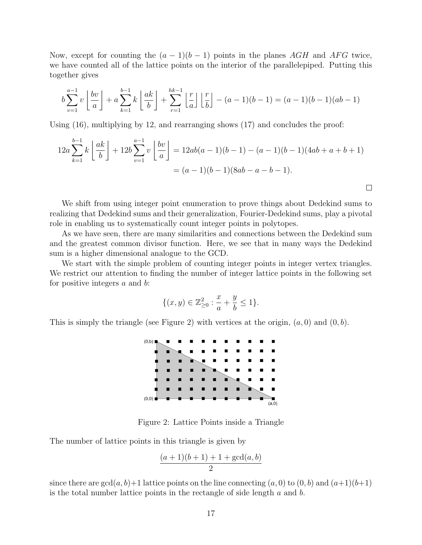Now, except for counting the  $(a - 1)(b - 1)$  points in the planes AGH and AFG twice, we have counted all of the lattice points on the interior of the parallelepiped. Putting this together gives

$$
b\sum_{v=1}^{a-1} v\left\lfloor \frac{bv}{a} \right\rfloor + a\sum_{k=1}^{b-1} k\left\lfloor \frac{ak}{b} \right\rfloor + \sum_{r=1}^{hk-1} \left\lfloor \frac{r}{a} \right\rfloor \left\lfloor \frac{r}{b} \right\rfloor - (a-1)(b-1) = (a-1)(b-1)(ab-1)
$$

Using (16), multiplying by 12, and rearranging shows (17) and concludes the proof:

$$
12a\sum_{k=1}^{b-1} k\left\lfloor\frac{ak}{b}\right\rfloor + 12b\sum_{v=1}^{a-1} v\left\lfloor\frac{bv}{a}\right\rfloor = 12ab(a-1)(b-1) - (a-1)(b-1)(4ab+a+b+1) = (a-1)(b-1)(8ab-a-b-1).
$$

 $\Box$ 

We shift from using integer point enumeration to prove things about Dedekind sums to realizing that Dedekind sums and their generalization, Fourier-Dedekind sums, play a pivotal role in enabling us to systematically count integer points in polytopes.

As we have seen, there are many similarities and connections between the Dedekind sum and the greatest common divisor function. Here, we see that in many ways the Dedekind sum is a higher dimensional analogue to the GCD.

We start with the simple problem of counting integer points in integer vertex triangles. We restrict our attention to finding the number of integer lattice points in the following set for positive integers  $a$  and  $b$ :

$$
\{(x,y) \in \mathbb{Z}_{\geq 0}^2 : \frac{x}{a} + \frac{y}{b} \leq 1\}.
$$

This is simply the triangle (see Figure 2) with vertices at the origin,  $(a, 0)$  and  $(0, b)$ .



Figure 2: Lattice Points inside a Triangle

The number of lattice points in this triangle is given by

$$
\frac{(a+1)(b+1)+1+\gcd(a,b)}{2}
$$

since there are  $gcd(a, b)+1$  lattice points on the line connecting  $(a, 0)$  to  $(0, b)$  and  $(a+1)(b+1)$ is the total number lattice points in the rectangle of side length  $a$  and  $b$ .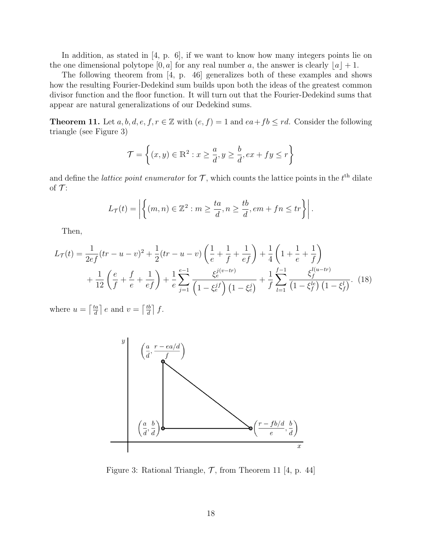In addition, as stated in [4, p. 6], if we want to know how many integers points lie on the one dimensional polytope [0, a] for any real number a, the answer is clearly  $\lfloor a \rfloor + 1$ .

The following theorem from [4, p. 46] generalizes both of these examples and shows how the resulting Fourier-Dedekind sum builds upon both the ideas of the greatest common divisor function and the floor function. It will turn out that the Fourier-Dedekind sums that appear are natural generalizations of our Dedekind sums.

**Theorem 11.** Let  $a, b, d, e, f, r \in \mathbb{Z}$  with  $(e, f) = 1$  and  $ea + fb \le rd$ . Consider the following triangle (see Figure 3)

$$
\mathcal{T} = \left\{ (x, y) \in \mathbb{R}^2 : x \ge \frac{a}{d}, y \ge \frac{b}{d}, ex + fy \le r \right\}
$$

and define the *lattice point enumerator* for  $\mathcal{T}$ , which counts the lattice points in the  $t^{\text{th}}$  dilate of  $\mathcal{T}$ :

$$
L_{\mathcal{T}}(t) = \left| \left\{ (m, n) \in \mathbb{Z}^2 : m \ge \frac{ta}{d}, n \ge \frac{tb}{d}, em + fn \le tr \right\} \right|.
$$

Then,

$$
L_{\mathcal{T}}(t) = \frac{1}{2ef}(tr - u - v)^2 + \frac{1}{2}(tr - u - v)\left(\frac{1}{e} + \frac{1}{f} + \frac{1}{ef}\right) + \frac{1}{4}\left(1 + \frac{1}{e} + \frac{1}{f}\right)
$$
  
+ 
$$
\frac{1}{12}\left(\frac{e}{f} + \frac{f}{e} + \frac{1}{ef}\right) + \frac{1}{e}\sum_{j=1}^{e-1} \frac{\xi_e^{j(v - tr)}}{\left(1 - \xi_e^{j}f\right)\left(1 - \xi_e^{j}\right)} + \frac{1}{f}\sum_{l=1}^{f-1} \frac{\xi_f^{l(u - tr)}}{\left(1 - \xi_f^{l e}\right)\left(1 - \xi_f^{l}\right)}.
$$
 (18)

where  $u = \left[\frac{ta}{d}\right]$  $\left\lfloor \frac{ta}{d} \right\rfloor$  e and  $v = \left\lceil \frac{tb}{d} \right\rceil$  $\frac{t}{d}$   $\Big]$   $f$ .



Figure 3: Rational Triangle,  $\mathcal{T}$ , from Theorem 11 [4, p. 44]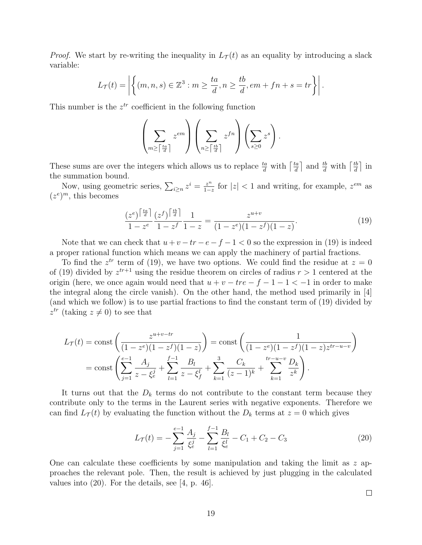*Proof.* We start by re-writing the inequality in  $L<sub>T</sub>(t)$  as an equality by introducing a slack variable:

$$
L_{\mathcal{T}}(t) = \left| \left\{ (m, n, s) \in \mathbb{Z}^3 : m \ge \frac{ta}{d}, n \ge \frac{tb}{d}, em + fn + s = tr \right\} \right|.
$$

This number is the  $z^{tr}$  coefficient in the following function

$$
\left(\sum_{m\geq \lceil \frac{ta}{d} \rceil} z^{em}\right)\left(\sum_{n\geq \lceil \frac{tb}{d} \rceil} z^{fn}\right)\left(\sum_{s\geq 0} z^s\right).
$$

These sums are over the integers which allows us to replace  $\frac{ta}{d}$  with  $\left\lceil \frac{ta}{d} \right\rceil$  $\frac{ta}{d}$  and  $\frac{tb}{d}$  with  $\left\lceil \frac{tb}{d} \right\rceil$  $\frac{tb}{d}$  in the summation bound.

Now, using geometric series,  $\sum_{i\geq n} z^i = \frac{z^n}{1-z}$  $\frac{z^n}{1-z}$  for  $|z|$  < 1 and writing, for example,  $z^{em}$  as  $(z^e)^m$ , this becomes

$$
\frac{(z^e)^{\left\lceil \frac{ta}{d} \right\rceil}}{1 - z^e} \frac{(z^f)^{\left\lceil \frac{tb}{d} \right\rceil}}{1 - z^f} \frac{1}{1 - z} = \frac{z^{u+v}}{(1 - z^e)(1 - z^f)(1 - z)}.
$$
\n(19)

Note that we can check that  $u + v - tr - e - f - 1 < 0$  so the expression in (19) is indeed a proper rational function which means we can apply the machinery of partial fractions.

To find the  $z^{tr}$  term of (19), we have two options. We could find the residue at  $z = 0$ of (19) divided by  $z^{tr+1}$  using the residue theorem on circles of radius  $r > 1$  centered at the origin (here, we once again would need that  $u + v - tre - f - 1 - 1 < -1$  in order to make the integral along the circle vanish). On the other hand, the method used primarily in [4] (and which we follow) is to use partial fractions to find the constant term of (19) divided by  $z^{tr}$  (taking  $z \neq 0$ ) to see that

$$
L_{\mathcal{T}}(t) = \text{const}\left(\frac{z^{u+v-tr}}{(1-z^e)(1-z^f)(1-z)}\right) = \text{const}\left(\frac{1}{(1-z^e)(1-z^f)(1-z)z^{tr-u-v}}\right)
$$

$$
= \text{const}\left(\sum_{j=1}^{e-1} \frac{A_j}{z-\xi_e^j} + \sum_{l=1}^{f-1} \frac{B_l}{z-\xi_f^l} + \sum_{k=1}^3 \frac{C_k}{(z-1)^k} + \sum_{k=1}^{tr-u-v} \frac{D_k}{z^k}\right).
$$

It turns out that the  $D_k$  terms do not contribute to the constant term because they contribute only to the terms in the Laurent series with negative exponents. Therefore we can find  $L_{\mathcal{T}}(t)$  by evaluating the function without the  $D_k$  terms at  $z = 0$  which gives

$$
L_{\mathcal{T}}(t) = -\sum_{j=1}^{e-1} \frac{A_j}{\xi_e^j} - \sum_{l=1}^{f-1} \frac{B_l}{\xi_e^l} - C_1 + C_2 - C_3 \tag{20}
$$

One can calculate these coefficients by some manipulation and taking the limit as  $z$  approaches the relevant pole. Then, the result is achieved by just plugging in the calculated values into (20). For the details, see [4, p. 46].

 $\Box$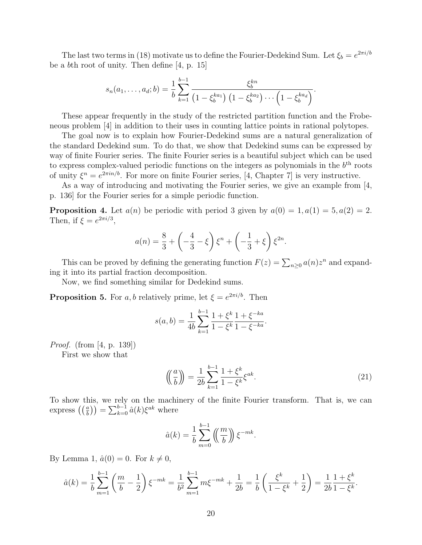The last two terms in (18) motivate us to define the Fourier-Dedekind Sum. Let  $\xi_b = e^{2\pi i/b}$ be a bth root of unity. Then define [4, p. 15]

$$
s_n(a_1,\ldots,a_d;b) = \frac{1}{b} \sum_{k=1}^{b-1} \frac{\xi_b^{kn}}{\left(1 - \xi_b^{ka_1}\right)\left(1 - \xi_b^{ka_2}\right)\cdots\left(1 - \xi_b^{ka_d}\right)}.
$$

These appear frequently in the study of the restricted partition function and the Frobeneous problem [4] in addition to their uses in counting lattice points in rational polytopes.

The goal now is to explain how Fourier-Dedekind sums are a natural generalization of the standard Dedekind sum. To do that, we show that Dedekind sums can be expressed by way of finite Fourier series. The finite Fourier series is a beautiful subject which can be used to express complex-valued periodic functions on the integers as polynomials in the  $b<sup>th</sup>$  roots of unity  $\xi^n = e^{2\pi i n/b}$ . For more on finite Fourier series, [4, Chapter 7] is very instructive.

As a way of introducing and motivating the Fourier series, we give an example from [4, p. 136] for the Fourier series for a simple periodic function.

**Proposition 4.** Let  $a(n)$  be periodic with period 3 given by  $a(0) = 1, a(1) = 5, a(2) = 2$ . Then, if  $\xi = e^{2\pi i/3}$ ,

$$
a(n) = \frac{8}{3} + \left(-\frac{4}{3} - \xi\right)\xi^{n} + \left(-\frac{1}{3} + \xi\right)\xi^{2n}.
$$

This can be proved by defining the generating function  $F(z) = \sum_{n\geq 0} a(n)z^n$  and expanding it into its partial fraction decomposition.

Now, we find something similar for Dedekind sums.

**Proposition 5.** For a, b relatively prime, let  $\xi = e^{2\pi i/b}$ . Then

$$
s(a,b) = \frac{1}{4b} \sum_{k=1}^{b-1} \frac{1+\xi^k}{1-\xi^k} \frac{1+\xi^{-ka}}{1-\xi^{-ka}}.
$$

*Proof.* (from [4, p. 139])

First we show that

$$
\left(\left(\frac{a}{b}\right)\right) = \frac{1}{2b} \sum_{k=1}^{b-1} \frac{1+\xi^k}{1-\xi^k} \xi^{ak}.
$$
\n
$$
(21)
$$

To show this, we rely on the machinery of the finite Fourier transform. That is, we can express  $\left(\left(\frac{a}{b}\right)\right) = \sum_{k=0}^{b-1} \hat{a}(k)\xi^{ak}$  where

$$
\hat{a}(k) = \frac{1}{b} \sum_{m=0}^{b-1} \left( \frac{m}{b} \right) \xi^{-mk}.
$$

By Lemma 1,  $\hat{a}(0) = 0$ . For  $k \neq 0$ ,

$$
\hat{a}(k) = \frac{1}{b} \sum_{m=1}^{b-1} \left( \frac{m}{b} - \frac{1}{2} \right) \xi^{-mk} = \frac{1}{b^2} \sum_{m=1}^{b-1} m \xi^{-mk} + \frac{1}{2b} = \frac{1}{b} \left( \frac{\xi^k}{1 - \xi^k} + \frac{1}{2} \right) = \frac{1}{2b} \frac{1 + \xi^k}{1 - \xi^k}.
$$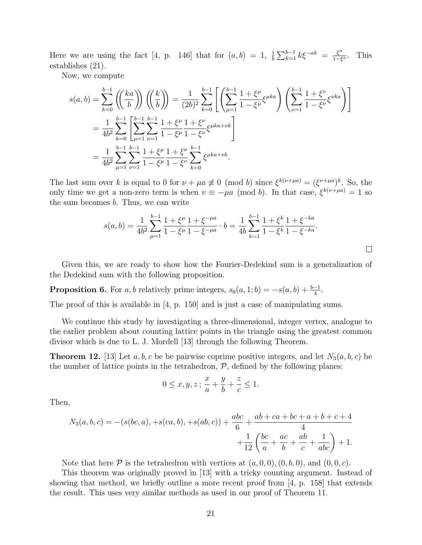Here we are using the fact [4, p. 146] that for  $(a, b) = 1$ ,  $\frac{1}{b} \sum_{k=1}^{b-1} k \xi^{-ak} = \frac{\xi^a}{1-\xi^b}$  $rac{\xi^a}{1-\xi^a}$ . This establishes (21).

Now, we compute

$$
s(a,b) = \sum_{k=0}^{b-1} \left( \left(\frac{ka}{b}\right) \right) \left( \left(\frac{k}{b}\right) \right) = \frac{1}{(2b)^2} \sum_{k=0}^{b-1} \left[ \left( \sum_{\mu=1}^{b-1} \frac{1+\xi^{\mu}}{1-\xi^{\mu}} \xi^{\mu ka} \right) \left( \sum_{\nu=1}^{b-1} \frac{1+\xi^{\nu}}{1-\xi^{\nu}} \xi^{\nu ka} \right) \right]
$$
  
= 
$$
\frac{1}{4b^2} \sum_{k=0}^{b-1} \left[ \sum_{\mu=1}^{b-1} \sum_{\nu=1}^{b-1} \frac{1+\xi^{\mu}}{1-\xi^{\mu}} \frac{1+\xi^{\nu}}{1-\xi^{\nu}} \xi^{\mu ka + vk} \right]
$$
  
= 
$$
\frac{1}{4b^2} \sum_{\mu=1}^{b-1} \sum_{\nu=1}^{b-1} \frac{1+\xi^{\mu}}{1-\xi^{\mu}} \frac{1+\xi^{\nu}}{1-\xi^{\nu}} \sum_{k=0}^{b-1} \xi^{\mu ka + vk}.
$$

The last sum over k is equal to 0 for  $\nu + \mu a \neq 0 \pmod{b}$  since  $\xi^{k(\nu+\mu a)} = (\xi^{\nu+\mu a})^k$ . So, the only time we get a non-zero term is when  $v \equiv -\mu a \pmod{b}$ . In that case,  $\xi^{k(\nu+\mu a)} = 1$  so the sum becomes b. Thus, we can write

$$
s(a,b) = \frac{1}{4b^2} \sum_{\mu=1}^{b-1} \frac{1+\xi^{\mu}}{1-\xi^{\mu}} \frac{1+\xi^{-\mu a}}{1-\xi^{-\mu a}} \cdot b = \frac{1}{4b} \sum_{k=1}^{b-1} \frac{1+\xi^k}{1-\xi^k} \frac{1+\xi^{-ka}}{1-\xi^{-ka}}.
$$

Given this, we are ready to show how the Fourier-Dedekind sum is a generalization of the Dedekind sum with the following proposition.

**Proposition 6.** For a, b relatively prime integers,  $s_0(a, 1; b) = -s(a, b) + \frac{b-1}{4}$ .

The proof of this is available in [4, p. 150] and is just a case of manipulating sums.

We continue this study by investigating a three-dimensional, integer vertex, analogue to the earlier problem about counting lattice points in the triangle using the greatest common divisor which is due to L. J. Mordell [13] through the following Theorem.

**Theorem 12.** [13] Let a, b, c be be pairwise coprime positive integers, and let  $N_3(a, b, c)$  be the number of lattice points in the tetrahedron,  $P$ , defined by the following planes:

$$
0 \le x, y, z; \frac{x}{a} + \frac{y}{b} + \frac{z}{c} \le 1.
$$

Then,

$$
N_3(a, b, c) = -(s(bc, a), +s(ca, b), +s(ab, c)) + \frac{abc}{6} + \frac{ab + ca + bc + a + b + c + 4}{4} + \frac{1}{12} \left( \frac{bc}{a} + \frac{ac}{b} + \frac{ab}{c} + \frac{1}{abc} \right) + 1.
$$

Note that here  $\mathcal P$  is the tetrahedron with vertices at  $(a, 0, 0), (0, b, 0)$ , and  $(0, 0, c)$ .

This theorem was originally proved in [13] with a tricky counting argument. Instead of showing that method, we briefly outline a more recent proof from [4, p. 158] that extends the result. This uses very similar methods as used in our proof of Theorem 11.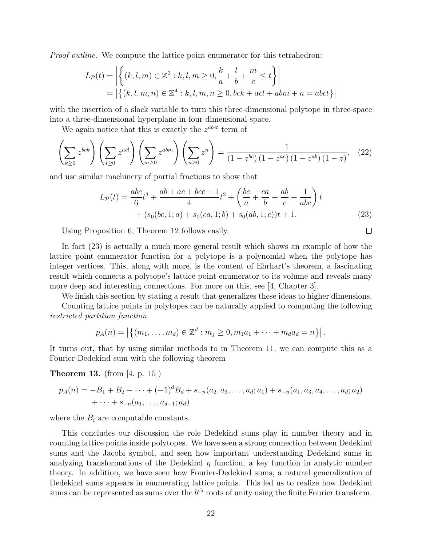Proof outline. We compute the lattice point enumerator for this tetrahedron:

$$
L_{\mathcal{P}}(t) = \left| \left\{ (k, l, m) \in \mathbb{Z}^3 : k, l, m \ge 0, \frac{k}{a} + \frac{l}{b} + \frac{m}{c} \le t \right\} \right|
$$
  
=  $\left| \left\{ (k, l, m, n) \in \mathbb{Z}^4 : k, l, m, n \ge 0, bck + acl + abm + n = abct \right\} \right|$ 

with the insertion of a slack variable to turn this three-dimensional polytope in three-space into a three-dimensional hyperplane in four dimensional space.

We again notice that this is exactly the  $z^{abct}$  term of

$$
\left(\sum_{k\geq 0} z^{bck}\right)\left(\sum_{l\geq 0} z^{acl}\right)\left(\sum_{m\geq 0} z^{abm}\right)\left(\sum_{n\geq 0} z^n\right) = \frac{1}{\left(1-z^{bc}\right)\left(1-z^{ac}\right)\left(1-z^{ab}\right)\left(1-z\right)}.\tag{22}
$$

and use similar machinery of partial fractions to show that

$$
L_{\mathcal{P}}(t) = \frac{abc}{6}t^3 + \frac{ab + ac + bcc + 1}{4}t^2 + \left(\frac{bc}{a} + \frac{ca}{b} + \frac{ab}{c} + \frac{1}{abc}\right)t + (s_0(bc, 1; a) + s_0(ca, 1; b) + s_0(ab, 1; c))t + 1.
$$
 (23)

Using Proposition 6, Theorem 12 follows easily.

In fact (23) is actually a much more general result which shows an example of how the lattice point enumerator function for a polytope is a polynomial when the polytope has integer vertices. This, along with more, is the content of Ehrhart's theorem, a fascinating result which connects a polytope's lattice point enumerator to its volume and reveals many more deep and interesting connections. For more on this, see [4, Chapter 3].

We finish this section by stating a result that generalizes these ideas to higher dimensions.

Counting lattice points in polytopes can be naturally applied to computing the following restricted partition function

$$
p_A(n) = |\{(m_1, \ldots, m_d) \in \mathbb{Z}^d : m_j \ge 0, m_1 a_1 + \cdots + m_d a_d = n\}|.
$$

It turns out, that by using similar methods to in Theorem 11, we can compute this as a Fourier-Dedekind sum with the following theorem

Theorem 13. (from [4, p. 15])

$$
p_A(n) = -B_1 + B_2 - \dots + (-1)^d B_d + s_{-n}(a_2, a_3, \dots, a_d; a_1) + s_{-n}(a_1, a_3, a_4, \dots, a_d; a_2) + \dots + s_{-n}(a_1, \dots, a_{d-1}; a_d)
$$

where the  $B_i$  are computable constants.

This concludes our discussion the role Dedekind sums play in number theory and in counting lattice points inside polytopes. We have seen a strong connection between Dedekind sums and the Jacobi symbol, and seen how important understanding Dedekind sums in analyzing transformations of the Dedekind  $\eta$  function, a key function in analytic number theory. In addition, we have seen how Fourier-Dedekind sums, a natural generalization of Dedekind sums appears in enumerating lattice points. This led us to realize how Dedekind sums can be represented as sums over the  $b<sup>th</sup>$  roots of unity using the finite Fourier transform.

 $\Box$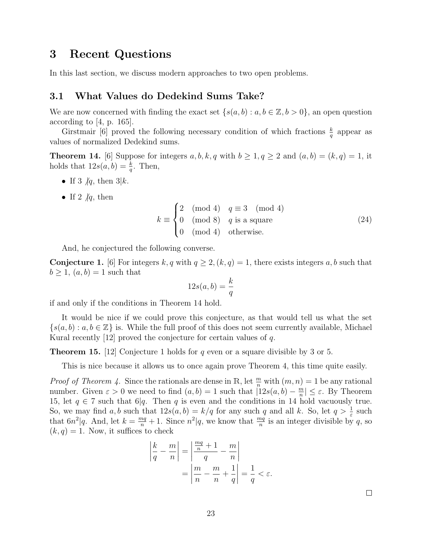### 3 Recent Questions

In this last section, we discuss modern approaches to two open problems.

#### 3.1 What Values do Dedekind Sums Take?

We are now concerned with finding the exact set  $\{s(a, b) : a, b \in \mathbb{Z}, b > 0\}$ , an open question according to [4, p. 165].

Girstmair [6] proved the following necessary condition of which fractions  $\frac{k}{q}$  appear as values of normalized Dedekind sums.

**Theorem 14.** [6] Suppose for integers  $a, b, k, q$  with  $b \ge 1, q \ge 2$  and  $(a, b) = (k, q) = 1$ , it holds that  $12s(a, b) = \frac{k}{q}$ . Then,

- If 3  $|q|$ , then 3|k.
- If 2  $/q$ , then

$$
k \equiv \begin{cases} 2 \pmod{4} & q \equiv 3 \pmod{4} \\ 0 \pmod{8} & q \text{ is a square} \\ 0 \pmod{4} & \text{otherwise.} \end{cases}
$$
 (24)

And, he conjectured the following converse.

**Conjecture 1.** [6] For integers k, q with  $q \ge 2$ ,  $(k, q) = 1$ , there exists integers a, b such that  $b \geq 1$ ,  $(a, b) = 1$  such that

$$
12s(a,b) = \frac{k}{q}
$$

if and only if the conditions in Theorem 14 hold.

It would be nice if we could prove this conjecture, as that would tell us what the set  $\{s(a, b) : a, b \in \mathbb{Z}\}\$ is. While the full proof of this does not seem currently available, Michael Kural recently  $[12]$  proved the conjecture for certain values of q.

**Theorem 15.** [12] Conjecture 1 holds for q even or a square divisible by 3 or 5.

This is nice because it allows us to once again prove Theorem 4, this time quite easily.

*Proof of Theorem 4.* Since the rationals are dense in R, let  $\frac{m}{n}$  with  $(m, n) = 1$  be any rational number. Given  $\varepsilon > 0$  we need to find  $(a, b) = 1$  such that  $(12s(a, b) - \frac{m}{n})$  $\left|\frac{m}{n}\right| \leq \varepsilon$ . By Theorem 15, let  $q \in 7$  such that 6|q. Then q is even and the conditions in 14 hold vacuously true. So, we may find a, b such that  $12s(a, b) = k/q$  for any such q and all k. So, let  $q > \frac{1}{\varepsilon}$  such that  $6n^2|q$ . And, let  $k = \frac{mq}{n} + 1$ . Since  $n^2|q$ , we know that  $\frac{mq}{n}$  is an integer divisible by q, so  $(k, q) = 1$ . Now, it suffices to check

$$
\left| \frac{k}{q} - \frac{m}{n} \right| = \left| \frac{\frac{mq}{n} + 1}{q} - \frac{m}{n} \right|
$$

$$
= \left| \frac{m}{n} - \frac{m}{n} + \frac{1}{q} \right| = \frac{1}{q} < \varepsilon.
$$

 $\Box$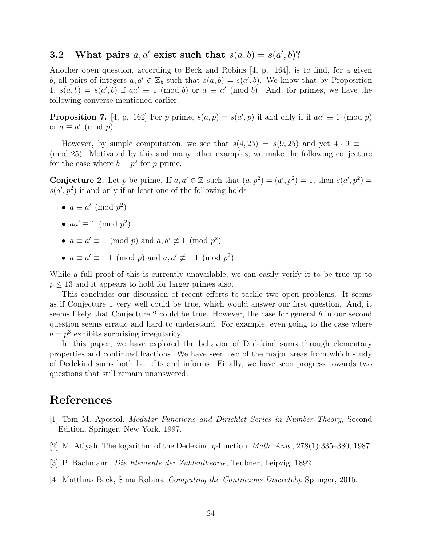## 3.2 What pairs  $a, a'$  exist such that  $s(a, b) = s(a', b)$ ?

Another open question, according to Beck and Robins [4, p. 164], is to find, for a given b, all pairs of integers  $a, a' \in \mathbb{Z}_b$  such that  $s(a, b) = s(a', b)$ . We know that by Proposition 1,  $s(a, b) = s(a', b)$  if  $aa' \equiv 1 \pmod{b}$  or  $a \equiv a' \pmod{b}$ . And, for primes, we have the following converse mentioned earlier.

**Proposition 7.** [4, p. 162] For p prime,  $s(a, p) = s(a', p)$  if and only if if  $aa' \equiv 1 \pmod{p}$ or  $a \equiv a' \pmod{p}$ .

However, by simple computation, we see that  $s(4, 25) = s(9, 25)$  and yet  $4 \cdot 9 \equiv 11$ (mod 25). Motivated by this and many other examples, we make the following conjecture for the case where  $b = p^2$  for p prime.

**Conjecture 2.** Let p be prime. If  $a, a' \in \mathbb{Z}$  such that  $(a, p^2) = (a', p^2) = 1$ , then  $s(a', p^2) =$  $s(a', p^2)$  if and only if at least one of the following holds

- $a \equiv a' \pmod{p^2}$
- $aa' \equiv 1 \pmod{p^2}$
- $a \equiv a' \equiv 1 \pmod{p}$  and  $a, a' \not\equiv 1 \pmod{p^2}$
- $a \equiv a' \equiv -1 \pmod{p}$  and  $a, a' \not\equiv -1 \pmod{p^2}$ .

While a full proof of this is currently unavailable, we can easily verify it to be true up to  $p \leq 13$  and it appears to hold for larger primes also.

This concludes our discussion of recent efforts to tackle two open problems. It seems as if Conjecture 1 very well could be true, which would answer our first question. And, it seems likely that Conjecture 2 could be true. However, the case for general b in our second question seems erratic and hard to understand. For example, even going to the case where  $b = p<sup>3</sup>$  exhibits surprising irregularity.

In this paper, we have explored the behavior of Dedekind sums through elementary properties and continued fractions. We have seen two of the major areas from which study of Dedekind sums both benefits and informs. Finally, we have seen progress towards two questions that still remain unanswered.

# References

- [1] Tom M. Apostol. Modular Functions and Dirichlet Series in Number Theory, Second Edition. Springer, New York, 1997.
- [2] M. Atiyah, The logarithm of the Dedekind η-function. Math. Ann., 278(1):335–380, 1987.
- [3] P. Bachmann. Die Elemente der Zahlentheorie, Teubner, Leipzig, 1892
- [4] Matthias Beck, Sinai Robins. Computing the Continuous Discretely. Springer, 2015.